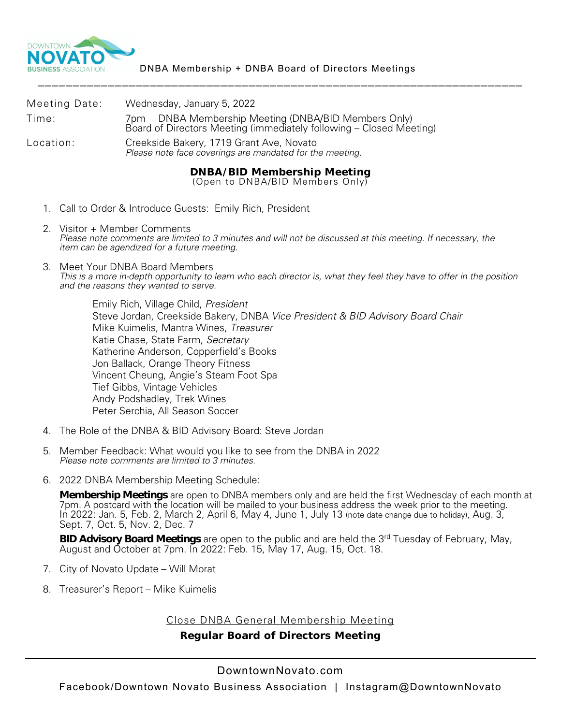

|               | <b>DNBA/BID Membership Meeting</b>                                                                                         |
|---------------|----------------------------------------------------------------------------------------------------------------------------|
| Location:     | Creekside Bakery, 1719 Grant Ave, Novato<br>Please note face coverings are mandated for the meeting.                       |
| Time:         | 7pm DNBA Membership Meeting (DNBA/BID Members Only)<br>Board of Directors Meeting (immediately following – Closed Meeting) |
| Meeting Date: | Wednesday, January 5, 2022                                                                                                 |

(Open to DNBA/BID Members Only)

- 1. Call to Order & Introduce Guests: Emily Rich, President
- 2. Visitor + Member Comments *Please note comments are limited to 3 minutes and will not be discussed at this meeting. If necessary, the item can be agendized for a future meeting.*
- 3. Meet Your DNBA Board Members *This is a more in-depth opportunity to learn who each director is, what they feel they have to offer in the position and the reasons they wanted to serve.*

Emily Rich, Village Child, *President* Steve Jordan, Creekside Bakery, DNBA *Vice President & BID Advisory Board Chair* Mike Kuimelis, Mantra Wines, *Treasurer* Katie Chase, State Farm, *Secretary* Katherine Anderson, Copperfield's Books Jon Ballack, Orange Theory Fitness Vincent Cheung, Angie's Steam Foot Spa Tief Gibbs, Vintage Vehicles Andy Podshadley, Trek Wines Peter Serchia, All Season Soccer

- 4. The Role of the DNBA & BID Advisory Board: Steve Jordan
- 5. Member Feedback: What would you like to see from the DNBA in 2022 *Please note comments are limited to 3 minutes.*
- 6. 2022 DNBA Membership Meeting Schedule:

**Membership Meetings** are open to DNBA members only and are held the first Wednesday of each month at 7pm. A postcard with the location will be mailed to your business address the week prior to the meeting. In 2022: Jan. 5, Feb. 2, March 2, April 6, May 4, June 1, July 13 (note date change due to holiday), Aug. 3, Sept. 7, Oct. 5, Nov. 2, Dec. 7

**BID Advisory Board Meetings** are open to the public and are held the 3rd Tuesday of February, May, August and October at 7pm. In 2022: Feb. 15, May 17, Aug. 15, Oct. 18.

- 7. City of Novato Update Will Morat
- 8. Treasurer's Report Mike Kuimelis

Close DNBA General Membership Meeting

**Regular Board of Directors Meeting**